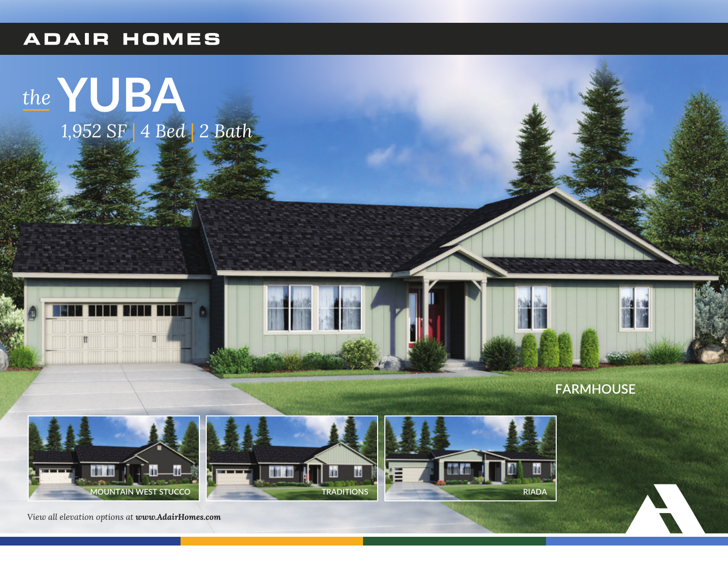## **ADAIR HOMES**